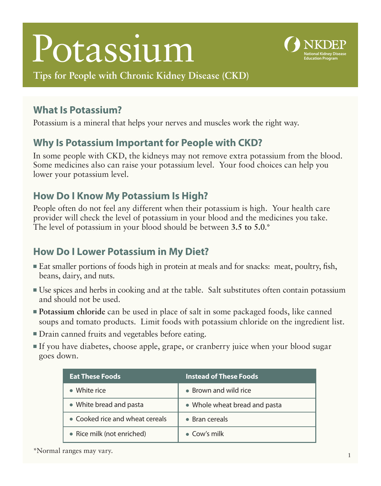# Potassium



**Tips for People with Chronic Kidney Disease (CKD)** 

### **What Is Potassium?**

Potassium is a mineral that helps your nerves and muscles work the right way.

### **Why Is Potassium Important for People with CKD?**

In some people with CKD, the kidneys may not remove extra potassium from the blood. Some medicines also can raise your potassium level. Your food choices can help you lower your potassium level.

### **How Do I Know My Potassium Is High?**

People often do not feel any different when their potassium is high. Your health care provider will check the level of potassium in your blood and the medicines you take. The level of potassium in your blood should be between **3.5 to 5.0**.\*

## **How Do I Lower Potassium in My Diet?**

- Eat smaller portions of foods high in protein at meals and for snacks: meat, poultry, fish, beans, dairy, and nuts.
- ■ Use spices and herbs in cooking and at the table. Salt substitutes often contain potassium and should not be used.
- **Potassium chloride** can be used in place of salt in some packaged foods, like canned soups and tomato products. Limit foods with potassium chloride on the ingredient list.
- Drain canned fruits and vegetables before eating.
- If you have diabetes, choose apple, grape, or cranberry juice when your blood sugar goes down.

| <b>Eat These Foods</b>          | <b>Instead of These Foods</b> |
|---------------------------------|-------------------------------|
| White rice                      | • Brown and wild rice         |
| • White bread and pasta         | • Whole wheat bread and pasta |
| • Cooked rice and wheat cereals | $\bullet$ Bran cereals        |
| • Rice milk (not enriched)      | $\bullet$ Cow's milk          |